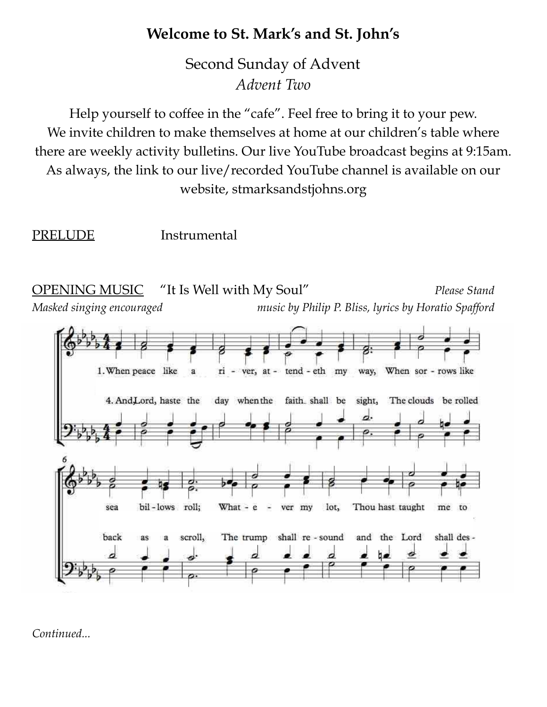## **Welcome to St. Mark's and St. John's**

Second Sunday of Advent *Advent Two*

Help yourself to coffee in the "cafe". Feel free to bring it to your pew. We invite children to make themselves at home at our children's table where there are weekly activity bulletins. Our live YouTube broadcast begins at 9:15am. As always, the link to our live/recorded YouTube channel is available on our website, stmarksandstjohns.org

PRELUDE Instrumental



*Continued...*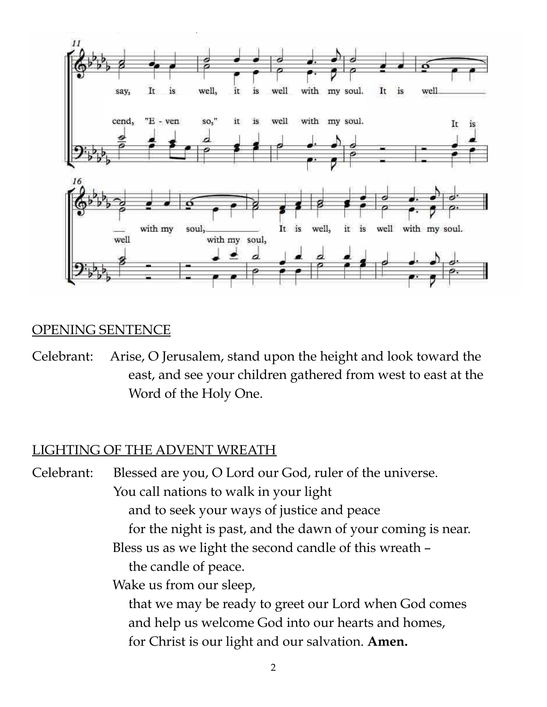

#### OPENING SENTENCE

Celebrant: Arise, O Jerusalem, stand upon the height and look toward the east, and see your children gathered from west to east at the Word of the Holy One.

#### LIGHTING OF THE ADVENT WREATH

Celebrant: Blessed are you, O Lord our God, ruler of the universe. You call nations to walk in your light and to seek your ways of justice and peace for the night is past, and the dawn of your coming is near. Bless us as we light the second candle of this wreath – the candle of peace. Wake us from our sleep, that we may be ready to greet our Lord when God comes and help us welcome God into our hearts and homes, for Christ is our light and our salvation. **Amen.**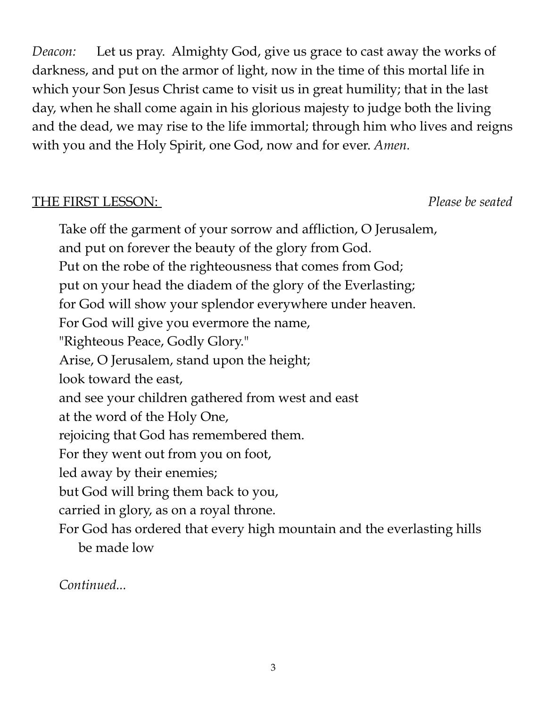*Deacon:* Let us pray. Almighty God, give us grace to cast away the works of darkness, and put on the armor of light, now in the time of this mortal life in which your Son Jesus Christ came to visit us in great humility; that in the last day, when he shall come again in his glorious majesty to judge both the living and the dead, we may rise to the life immortal; through him who lives and reigns with you and the Holy Spirit, one God, now and for ever. *Amen.*

#### THE FIRST LESSON: *Please be seated*

Take off the garment of your sorrow and affliction, O Jerusalem, and put on forever the beauty of the glory from God. Put on the robe of the righteousness that comes from God; put on your head the diadem of the glory of the Everlasting; for God will show your splendor everywhere under heaven. For God will give you evermore the name, "Righteous Peace, Godly Glory." Arise, O Jerusalem, stand upon the height; look toward the east, and see your children gathered from west and east at the word of the Holy One, rejoicing that God has remembered them. For they went out from you on foot, led away by their enemies; but God will bring them back to you, carried in glory, as on a royal throne. For God has ordered that every high mountain and the everlasting hills be made low

*Continued...*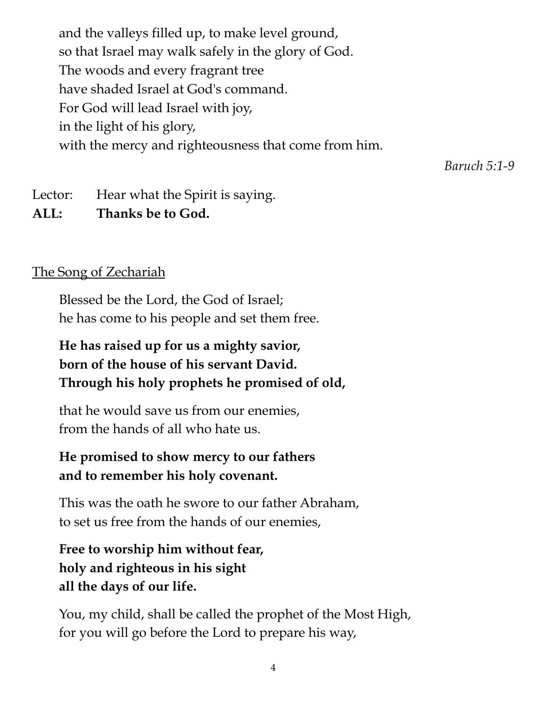and the valleys filled up, to make level ground, so that Israel may walk safely in the glory of God. The woods and every fragrant tree have shaded Israel at God's command. For God will lead Israel with joy, in the light of his glory, with the mercy and righteousness that come from him.

*Baruch 5:1-9*

Lector: Hear what the Spirit is saying.

**ALL: Thanks be to God.**

#### The Song of Zechariah

Blessed be the Lord, the God of Israel; he has come to his people and set them free.

### **He has raised up for us a mighty savior, born of the house of his servant David. Through his holy prophets he promised of old,**

that he would save us from our enemies, from the hands of all who hate us.

#### **He promised to show mercy to our fathers and to remember his holy covenant.**

This was the oath he swore to our father Abraham, to set us free from the hands of our enemies,

**Free to worship him without fear, holy and righteous in his sight all the days of our life.**

You, my child, shall be called the prophet of the Most High, for you will go before the Lord to prepare his way,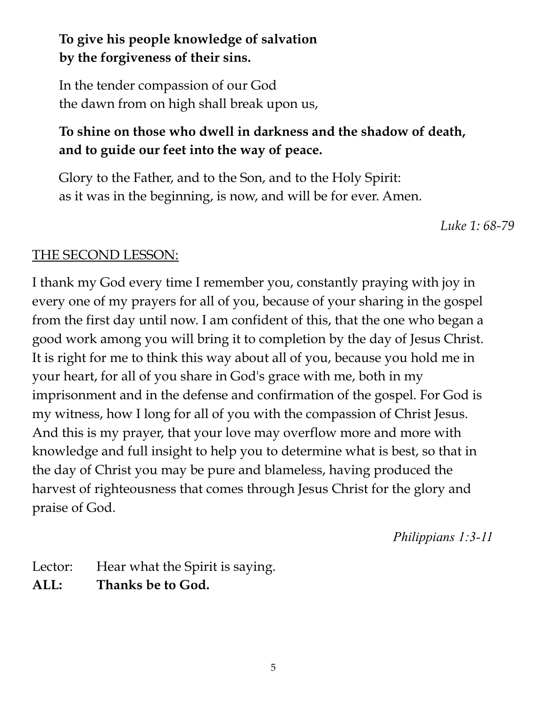## **To give his people knowledge of salvation by the forgiveness of their sins.**

In the tender compassion of our God the dawn from on high shall break upon us,

## **To shine on those who dwell in darkness and the shadow of death, and to guide our feet into the way of peace.**

Glory to the Father, and to the Son, and to the Holy Spirit: as it was in the beginning, is now, and will be for ever. Amen.

*Luke 1: 68-79*

#### THE SECOND LESSON:

I thank my God every time I remember you, constantly praying with joy in every one of my prayers for all of you, because of your sharing in the gospel from the first day until now. I am confident of this, that the one who began a good work among you will bring it to completion by the day of Jesus Christ. It is right for me to think this way about all of you, because you hold me in your heart, for all of you share in God's grace with me, both in my imprisonment and in the defense and confirmation of the gospel. For God is my witness, how I long for all of you with the compassion of Christ Jesus. And this is my prayer, that your love may overflow more and more with knowledge and full insight to help you to determine what is best, so that in the day of Christ you may be pure and blameless, having produced the harvest of righteousness that comes through Jesus Christ for the glory and praise of God.

*Philippians 1:3-11*

Lector: Hear what the Spirit is saying. **ALL: Thanks be to God.**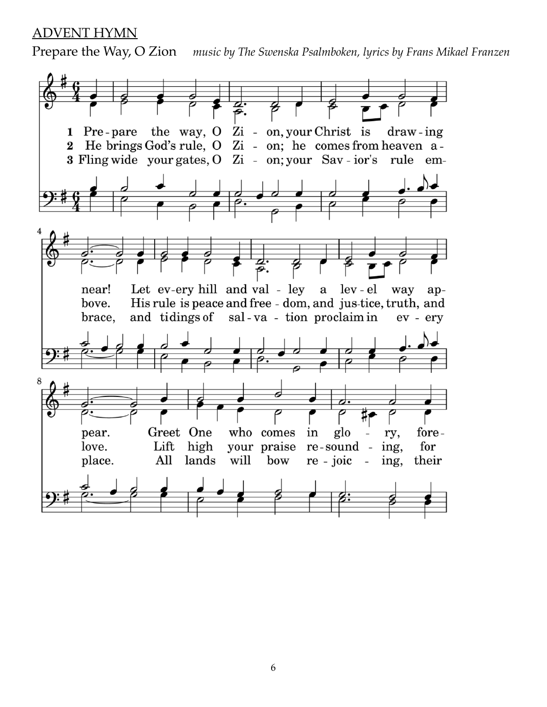#### ADVENT HYMN

Prepare the Way, O Zion *music by The Swenska Psalmboken, lyrics by Frans Mikael Franzen*

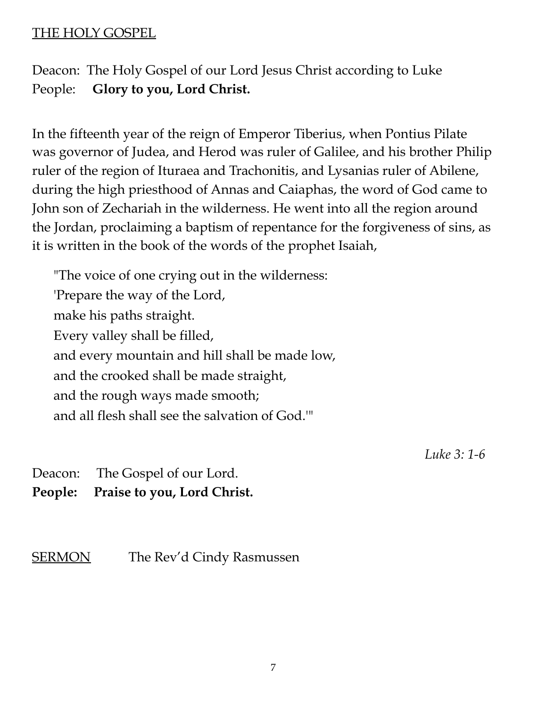#### THE HOLY GOSPEL

Deacon: The Holy Gospel of our Lord Jesus Christ according to Luke People: **Glory to you, Lord Christ.**

In the fifteenth year of the reign of Emperor Tiberius, when Pontius Pilate was governor of Judea, and Herod was ruler of Galilee, and his brother Philip ruler of the region of Ituraea and Trachonitis, and Lysanias ruler of Abilene, during the high priesthood of Annas and Caiaphas, the word of God came to John son of Zechariah in the wilderness. He went into all the region around the Jordan, proclaiming a baptism of repentance for the forgiveness of sins, as it is written in the book of the words of the prophet Isaiah,

"The voice of one crying out in the wilderness: 'Prepare the way of the Lord, make his paths straight. Every valley shall be filled, and every mountain and hill shall be made low, and the crooked shall be made straight, and the rough ways made smooth; and all flesh shall see the salvation of God.'"

*Luke 3: 1-6*

Deacon: The Gospel of our Lord. **People: Praise to you, Lord Christ.**

SERMON The Rev'd Cindy Rasmussen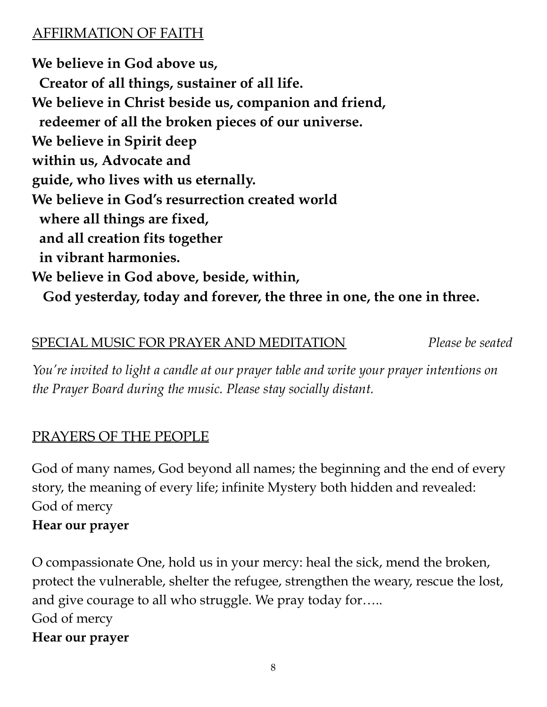## AFFIRMATION OF FAITH

**We believe in God above us, Creator of all things, sustainer of all life. We believe in Christ beside us, companion and friend, redeemer of all the broken pieces of our universe. We believe in Spirit deep within us, Advocate and guide, who lives with us eternally. We believe in God's resurrection created world where all things are fixed, and all creation fits together in vibrant harmonies. We believe in God above, beside, within, God yesterday, today and forever, the three in one, the one in three.**

#### SPECIAL MUSIC FOR PRAYER AND MEDITATION *Please be seated*

*You're invited to light a candle at our prayer table and write your prayer intentions on the Prayer Board during the music. Please stay socially distant.*

## PRAYERS OF THE PEOPLE

God of many names, God beyond all names; the beginning and the end of every story, the meaning of every life; infinite Mystery both hidden and revealed: God of mercy

### **Hear our prayer**

O compassionate One, hold us in your mercy: heal the sick, mend the broken, protect the vulnerable, shelter the refugee, strengthen the weary, rescue the lost, and give courage to all who struggle. We pray today for….. God of mercy **Hear our prayer**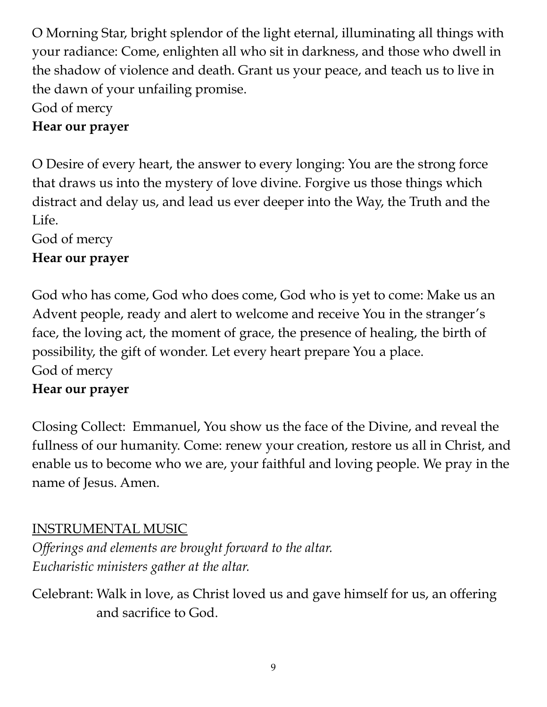O Morning Star, bright splendor of the light eternal, illuminating all things with your radiance: Come, enlighten all who sit in darkness, and those who dwell in the shadow of violence and death. Grant us your peace, and teach us to live in the dawn of your unfailing promise.

God of mercy

## **Hear our prayer**

O Desire of every heart, the answer to every longing: You are the strong force that draws us into the mystery of love divine. Forgive us those things which distract and delay us, and lead us ever deeper into the Way, the Truth and the Life.

God of mercy

## **Hear our prayer**

God who has come, God who does come, God who is yet to come: Make us an Advent people, ready and alert to welcome and receive You in the stranger's face, the loving act, the moment of grace, the presence of healing, the birth of possibility, the gift of wonder. Let every heart prepare You a place. God of mercy

### **Hear our prayer**

Closing Collect: Emmanuel, You show us the face of the Divine, and reveal the fullness of our humanity. Come: renew your creation, restore us all in Christ, and enable us to become who we are, your faithful and loving people. We pray in the name of Jesus. Amen.

## INSTRUMENTAL MUSIC

*Offerings and elements are brought forward to the altar. Eucharistic ministers gather at the altar.*

Celebrant: Walk in love, as Christ loved us and gave himself for us, an offering and sacrifice to God.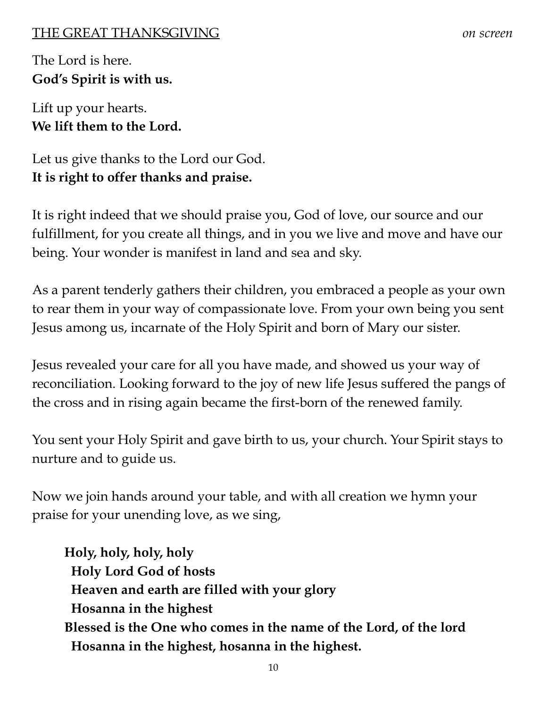#### THE GREAT THANKSGIVING *on screen*

The Lord is here. **God's Spirit is with us.**

Lift up your hearts. **We lift them to the Lord.**

Let us give thanks to the Lord our God. **It is right to offer thanks and praise.**

It is right indeed that we should praise you, God of love, our source and our fulfillment, for you create all things, and in you we live and move and have our being. Your wonder is manifest in land and sea and sky.

As a parent tenderly gathers their children, you embraced a people as your own to rear them in your way of compassionate love. From your own being you sent Jesus among us, incarnate of the Holy Spirit and born of Mary our sister.

Jesus revealed your care for all you have made, and showed us your way of reconciliation. Looking forward to the joy of new life Jesus suffered the pangs of the cross and in rising again became the first-born of the renewed family.

You sent your Holy Spirit and gave birth to us, your church. Your Spirit stays to nurture and to guide us.

Now we join hands around your table, and with all creation we hymn your praise for your unending love, as we sing,

**Holy, holy, holy, holy Holy Lord God of hosts Heaven and earth are filled with your glory Hosanna in the highest Blessed is the One who comes in the name of the Lord, of the lord Hosanna in the highest, hosanna in the highest.**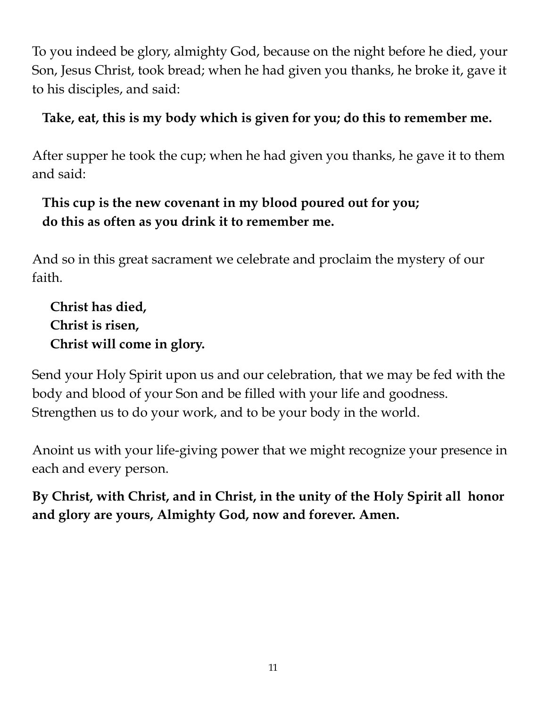To you indeed be glory, almighty God, because on the night before he died, your Son, Jesus Christ, took bread; when he had given you thanks, he broke it, gave it to his disciples, and said:

## **Take, eat, this is my body which is given for you; do this to remember me.**

After supper he took the cup; when he had given you thanks, he gave it to them and said:

## **This cup is the new covenant in my blood poured out for you; do this as often as you drink it to remember me.**

And so in this great sacrament we celebrate and proclaim the mystery of our faith.

**Christ has died, Christ is risen, Christ will come in glory.**

Send your Holy Spirit upon us and our celebration, that we may be fed with the body and blood of your Son and be filled with your life and goodness. Strengthen us to do your work, and to be your body in the world.

Anoint us with your life-giving power that we might recognize your presence in each and every person.

**By Christ, with Christ, and in Christ, in the unity of the Holy Spirit all honor and glory are yours, Almighty God, now and forever. Amen.**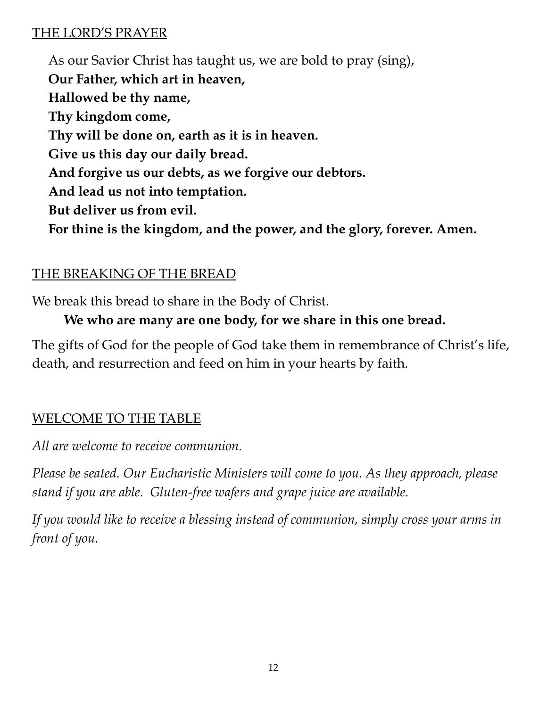#### THE LORD'S PRAYER

As our Savior Christ has taught us, we are bold to pray (sing), **Our Father, which art in heaven, Hallowed be thy name, Thy kingdom come, Thy will be done on, earth as it is in heaven. Give us this day our daily bread. And forgive us our debts, as we forgive our debtors. And lead us not into temptation. But deliver us from evil. For thine is the kingdom, and the power, and the glory, forever. Amen.**

## THE BREAKING OF THE BREAD

We break this bread to share in the Body of Christ.

## **We who are many are one body, for we share in this one bread.**

The gifts of God for the people of God take them in remembrance of Christ's life, death, and resurrection and feed on him in your hearts by faith.

## WELCOME TO THE TABLE

*All are welcome to receive communion.*

*Please be seated. Our Eucharistic Ministers will come to you. As they approach, please stand if you are able. Gluten-free wafers and grape juice are available.*

*If you would like to receive a blessing instead of communion, simply cross your arms in front of you.*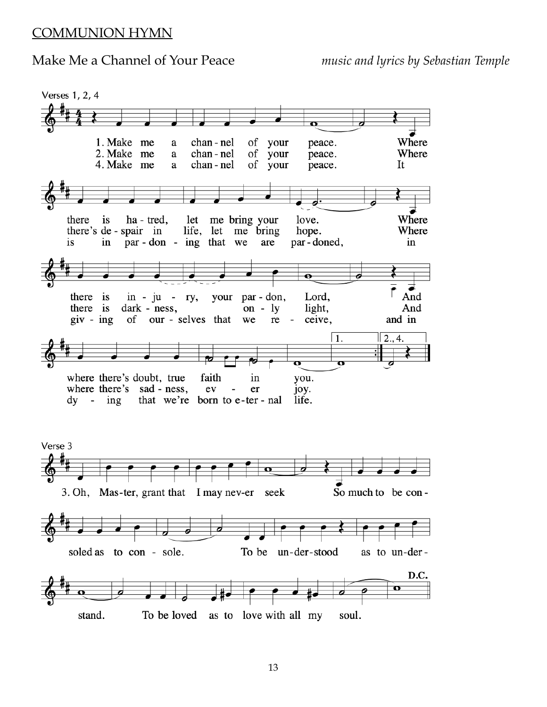#### COMMUNION HYMN

#### Make Me a Channel of Your Peace *music and lyrics by Sebastian Temple*

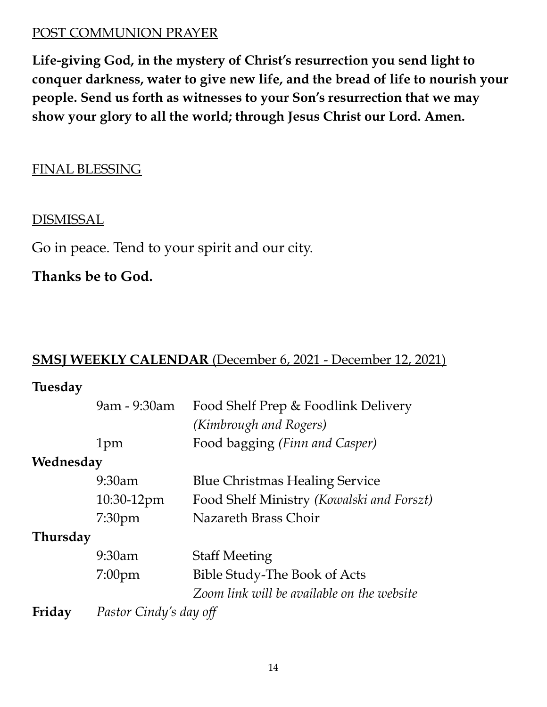#### POST COMMUNION PRAYER

**Life-giving God, in the mystery of Christ's resurrection you send light to conquer darkness, water to give new life, and the bread of life to nourish your people. Send us forth as witnesses to your Son's resurrection that we may show your glory to all the world; through Jesus Christ our Lord. Amen.**

#### FINAL BLESSING

#### **DISMISSAL**

Go in peace. Tend to your spirit and our city.

**Thanks be to God.**

#### **SMSJ WEEKLY CALENDAR** (December 6, 2021 - December 12, 2021)

#### **Tuesday**

|           | 9am - 9:30am           | Food Shelf Prep & Foodlink Delivery        |  |  |
|-----------|------------------------|--------------------------------------------|--|--|
|           |                        | (Kimbrough and Rogers)                     |  |  |
|           | 1pm                    | Food bagging (Finn and Casper)             |  |  |
| Wednesday |                        |                                            |  |  |
|           | 9:30am                 | <b>Blue Christmas Healing Service</b>      |  |  |
|           | 10:30-12pm             | Food Shelf Ministry (Kowalski and Forszt)  |  |  |
|           | 7:30 <sub>pm</sub>     | Nazareth Brass Choir                       |  |  |
| Thursday  |                        |                                            |  |  |
|           | 9:30am                 | <b>Staff Meeting</b>                       |  |  |
|           | $7:00$ pm              | <b>Bible Study-The Book of Acts</b>        |  |  |
|           |                        | Zoom link will be available on the website |  |  |
| Friday    | Pastor Cindy's day off |                                            |  |  |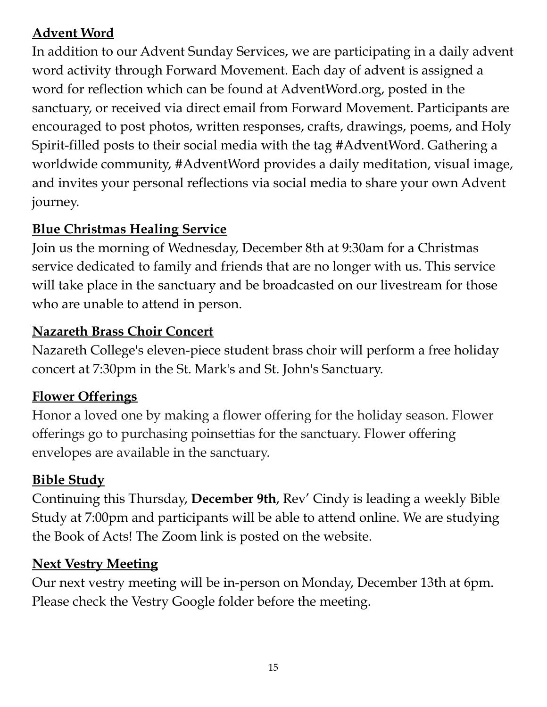## **Advent Word**

In addition to our Advent Sunday Services, we are participating in a daily advent word activity through Forward Movement. Each day of advent is assigned a word for reflection which can be found at AdventWord.org, posted in the sanctuary, or received via direct email from Forward Movement. Participants are encouraged to post photos, written responses, crafts, drawings, poems, and Holy Spirit-filled posts to their social media with the tag #AdventWord. Gathering a worldwide community, #AdventWord provides a daily meditation, visual image, and invites your personal reflections via social media to share your own Advent journey.

#### **Blue Christmas Healing Service**

Join us the morning of Wednesday, December 8th at 9:30am for a Christmas service dedicated to family and friends that are no longer with us. This service will take place in the sanctuary and be broadcasted on our livestream for those who are unable to attend in person.

#### **Nazareth Brass Choir Concert**

Nazareth College's eleven-piece student brass choir will perform a free holiday concert at 7:30pm in the St. Mark's and St. John's Sanctuary.

#### **Flower Offerings**

Honor a loved one by making a flower offering for the holiday season. Flower offerings go to purchasing poinsettias for the sanctuary. Flower offering envelopes are available in the sanctuary.

#### **Bible Study**

Continuing this Thursday, **December 9th**, Rev' Cindy is leading a weekly Bible Study at 7:00pm and participants will be able to attend online. We are studying the Book of Acts! The Zoom link is posted on the website.

#### **Next Vestry Meeting**

Our next vestry meeting will be in-person on Monday, December 13th at 6pm. Please check the Vestry Google folder before the meeting.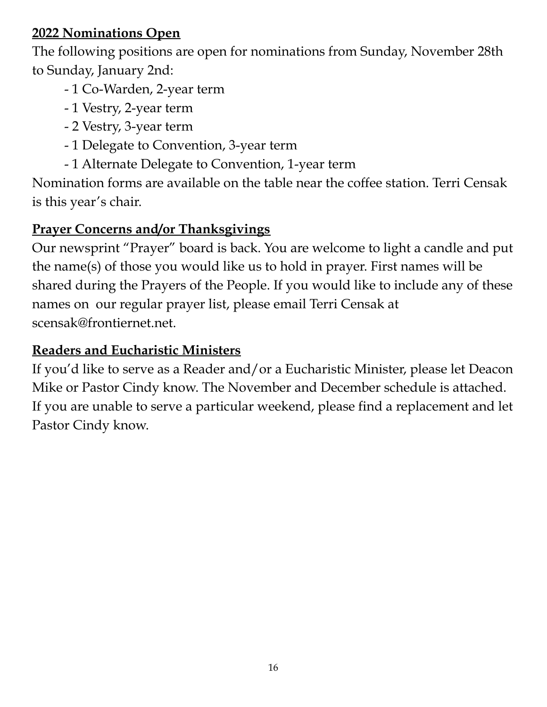### **2022 Nominations Open**

The following positions are open for nominations from Sunday, November 28th to Sunday, January 2nd:

- 1 Co-Warden, 2-year term
- 1 Vestry, 2-year term
- 2 Vestry, 3-year term
- 1 Delegate to Convention, 3-year term
- 1 Alternate Delegate to Convention, 1-year term

Nomination forms are available on the table near the coffee station. Terri Censak is this year's chair.

## **Prayer Concerns and/or Thanksgivings**

Our newsprint "Prayer" board is back. You are welcome to light a candle and put the name(s) of those you would like us to hold in prayer. First names will be shared during the Prayers of the People. If you would like to include any of these names on our regular prayer list, please email Terri Censak at scensak@frontiernet.net.

## **Readers and Eucharistic Ministers**

If you'd like to serve as a Reader and/or a Eucharistic Minister, please let Deacon Mike or Pastor Cindy know. The November and December schedule is attached. If you are unable to serve a particular weekend, please find a replacement and let Pastor Cindy know.